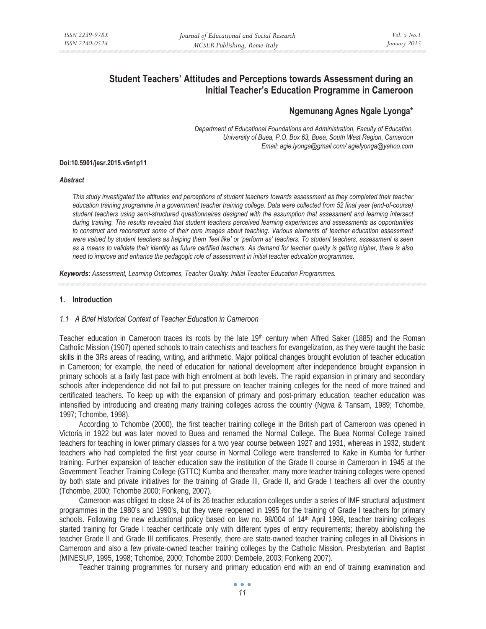# **Student Teachers' Attitudes and Perceptions towards Assessment during an Initial Teacher's Education Programme in Cameroon**

# **Ngemunang Agnes Ngale Lyonga\***

*Department of Educational Foundations and Administration, Faculty of Education, University of Buea, P.O. Box 63, Buea, South West Region, Cameroon Email: agie.lyonga@gmail.com/ agielyonga@yahoo.com* 

#### **Doi:10.5901/jesr.2015.v5n1p11**

#### *Abstract*

*This study investigated the attitudes and perceptions of student teachers towards assessment as they completed their teacher education training programme in a government teacher training college. Data were collected from 52 final year (end-of-course) student teachers using semi-structured questionnaires designed with the assumption that assessment and learning intersect during training. The results revealed that student teachers perceived learning experiences and assessments as opportunities to construct and reconstruct some of their core images about teaching. Various elements of teacher education assessment were valued by student teachers as helping them 'feel like' or 'perform as' teachers. To student teachers, assessment is seen as a means to validate their identity as future certified teachers. As demand for teacher quality is getting higher, there is also need to improve and enhance the pedagogic role of assessment in initial teacher education programmes.* 

*Keywords: Assessment, Learning Outcomes, Teacher Quality, Initial Teacher Education Programmes.*

#### **1. Introduction**

### *1.1 A Brief Historical Context of Teacher Education in Cameroon*

Teacher education in Cameroon traces its roots by the late 19th century when Alfred Saker (1885) and the Roman Catholic Mission (1907) opened schools to train catechists and teachers for evangelization, as they were taught the basic skills in the 3Rs areas of reading, writing, and arithmetic. Major political changes brought evolution of teacher education in Cameroon; for example, the need of education for national development after independence brought expansion in primary schools at a fairly fast pace with high enrolment at both levels. The rapid expansion in primary and secondary schools after independence did not fail to put pressure on teacher training colleges for the need of more trained and certificated teachers. To keep up with the expansion of primary and post-primary education, teacher education was intensified by introducing and creating many training colleges across the country (Ngwa & Tansam, 1989; Tchombe, 1997; Tchombe, 1998).

According to Tchombe (2000), the first teacher training college in the British part of Cameroon was opened in Victoria in 1922 but was later moved to Buea and renamed the Normal College. The Buea Normal College trained teachers for teaching in lower primary classes for a two year course between 1927 and 1931, whereas in 1932, student teachers who had completed the first year course in Normal College were transferred to Kake in Kumba for further training. Further expansion of teacher education saw the institution of the Grade II course in Cameroon in 1945 at the Government Teacher Training College (GTTC) Kumba and thereafter, many more teacher training colleges were opened by both state and private initiatives for the training of Grade III, Grade II, and Grade I teachers all over the country (Tchombe, 2000; Tchombe 2000; Fonkeng, 2007).

Cameroon was obliged to close 24 of its 26 teacher education colleges under a series of IMF structural adjustment programmes in the 1980's and 1990's, but they were reopened in 1995 for the training of Grade I teachers for primary schools. Following the new educational policy based on law no. 98/004 of 14<sup>th</sup> April 1998, teacher training colleges started training for Grade I teacher certificate only with different types of entry requirements; thereby abolishing the teacher Grade II and Grade III certificates. Presently, there are state-owned teacher training colleges in all Divisions in Cameroon and also a few private-owned teacher training colleges by the Catholic Mission, Presbyterian, and Baptist (MINESUP, 1995, 1998; Tchombe, 2000; Tchombe 2000; Dembele, 2003; Fonkeng 2007).

Teacher training programmes for nursery and primary education end with an end of training examination and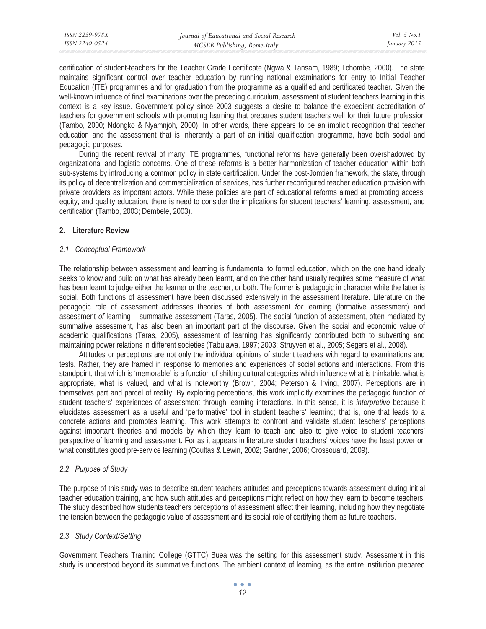certification of student-teachers for the Teacher Grade I certificate (Ngwa & Tansam, 1989; Tchombe, 2000). The state maintains significant control over teacher education by running national examinations for entry to Initial Teacher Education (ITE) programmes and for graduation from the programme as a qualified and certificated teacher. Given the well-known influence of final examinations over the preceding curriculum, assessment of student teachers learning in this context is a key issue. Government policy since 2003 suggests a desire to balance the expedient accreditation of teachers for government schools with promoting learning that prepares student teachers well for their future profession (Tambo, 2000; Ndongko & Nyamnjoh, 2000). In other words, there appears to be an implicit recognition that teacher education and the assessment that is inherently a part of an initial qualification programme, have both social and pedagogic purposes.

During the recent revival of many ITE programmes, functional reforms have generally been overshadowed by organizational and logistic concerns. One of these reforms is a better harmonization of teacher education within both sub-systems by introducing a common policy in state certification. Under the post-Jomtien framework, the state, through its policy of decentralization and commercialization of services, has further reconfigured teacher education provision with private providers as important actors. While these policies are part of educational reforms aimed at promoting access, equity, and quality education, there is need to consider the implications for student teachers' learning, assessment, and certification (Tambo, 2003; Dembele, 2003).

### **2. Literature Review**

### *2.1 Conceptual Framework*

The relationship between assessment and learning is fundamental to formal education, which on the one hand ideally seeks to know and build on what has already been learnt, and on the other hand usually requires some measure of what has been learnt to judge either the learner or the teacher, or both. The former is pedagogic in character while the latter is social. Both functions of assessment have been discussed extensively in the assessment literature. Literature on the pedagogic role of assessment addresses theories of both assessment *for* learning (formative assessment) and assessment *of* learning – summative assessment (Taras, 2005). The social function of assessment, often mediated by summative assessment, has also been an important part of the discourse. Given the social and economic value of academic qualifications (Taras, 2005), assessment of learning has significantly contributed both to subverting and maintaining power relations in different societies (Tabulawa, 1997; 2003; Struyven et al., 2005; Segers et al., 2008).

Attitudes or perceptions are not only the individual opinions of student teachers with regard to examinations and tests. Rather, they are framed in response to memories and experiences of social actions and interactions. From this standpoint, that which is 'memorable' is a function of shifting cultural categories which influence what is thinkable, what is appropriate, what is valued, and what is noteworthy (Brown, 2004; Peterson & Irving, 2007). Perceptions are in themselves part and parcel of reality. By exploring perceptions, this work implicitly examines the pedagogic function of student teachers' experiences of assessment through learning interactions. In this sense, it is *interpretive* because it elucidates assessment as a useful and 'performative' tool in student teachers' learning; that is, one that leads to a concrete actions and promotes learning. This work attempts to confront and validate student teachers' perceptions against important theories and models by which they learn to teach and also to give voice to student teachers' perspective of learning and assessment. For as it appears in literature student teachers' voices have the least power on what constitutes good pre-service learning (Coultas & Lewin, 2002; Gardner, 2006; Crossouard, 2009).

# *2.2 Purpose of Study*

The purpose of this study was to describe student teachers attitudes and perceptions towards assessment during initial teacher education training, and how such attitudes and perceptions might reflect on how they learn to become teachers. The study described how students teachers perceptions of assessment affect their learning, including how they negotiate the tension between the pedagogic value of assessment and its social role of certifying them as future teachers.

# *2.3 Study Context/Setting*

Government Teachers Training College (GTTC) Buea was the setting for this assessment study. Assessment in this study is understood beyond its summative functions. The ambient context of learning, as the entire institution prepared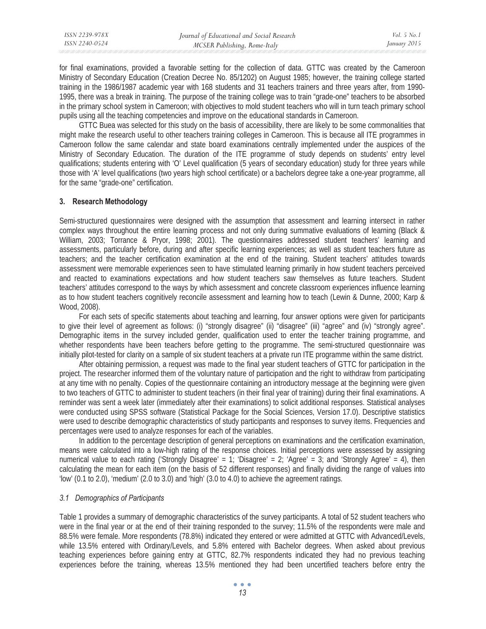| ISSN 2239-978X | Journal of Educational and Social Research | <i>Vol.</i> 5 $No.1$ |
|----------------|--------------------------------------------|----------------------|
| ISSN 2240-0524 | MCSER Publishing, Rome-Italy               | January 2015         |

for final examinations, provided a favorable setting for the collection of data. GTTC was created by the Cameroon Ministry of Secondary Education (Creation Decree No. 85/1202) on August 1985; however, the training college started training in the 1986/1987 academic year with 168 students and 31 teachers trainers and three years after, from 1990- 1995, there was a break in training. The purpose of the training college was to train "grade-one" teachers to be absorbed in the primary school system in Cameroon; with objectives to mold student teachers who will in turn teach primary school pupils using all the teaching competencies and improve on the educational standards in Cameroon.

GTTC Buea was selected for this study on the basis of accessibility, there are likely to be some commonalities that might make the research useful to other teachers training colleges in Cameroon. This is because all ITE programmes in Cameroon follow the same calendar and state board examinations centrally implemented under the auspices of the Ministry of Secondary Education. The duration of the ITE programme of study depends on students' entry level qualifications; students entering with 'O' Level qualification (5 years of secondary education) study for three years while those with 'A' level qualifications (two years high school certificate) or a bachelors degree take a one-year programme, all for the same "grade-one" certification.

### **3. Research Methodology**

Semi-structured questionnaires were designed with the assumption that assessment and learning intersect in rather complex ways throughout the entire learning process and not only during summative evaluations of learning (Black & William, 2003; Torrance & Pryor, 1998; 2001). The questionnaires addressed student teachers' learning and assessments, particularly before, during and after specific learning experiences; as well as student teachers future as teachers; and the teacher certification examination at the end of the training. Student teachers' attitudes towards assessment were memorable experiences seen to have stimulated learning primarily in how student teachers perceived and reacted to examinations expectations and how student teachers saw themselves as future teachers. Student teachers' attitudes correspond to the ways by which assessment and concrete classroom experiences influence learning as to how student teachers cognitively reconcile assessment and learning how to teach (Lewin & Dunne, 2000; Karp & Wood, 2008).

For each sets of specific statements about teaching and learning, four answer options were given for participants to give their level of agreement as follows: (i) "strongly disagree" (ii) "disagree" (iii) "agree" and (iv) "strongly agree". Demographic items in the survey included gender, qualification used to enter the teacher training programme, and whether respondents have been teachers before getting to the programme. The semi-structured questionnaire was initially pilot-tested for clarity on a sample of six student teachers at a private run ITE programme within the same district.

After obtaining permission, a request was made to the final year student teachers of GTTC for participation in the project. The researcher informed them of the voluntary nature of participation and the right to withdraw from participating at any time with no penalty. Copies of the questionnaire containing an introductory message at the beginning were given to two teachers of GTTC to administer to student teachers (in their final year of training) during their final examinations. A reminder was sent a week later (immediately after their examinations) to solicit additional responses. Statistical analyses were conducted using SPSS software (Statistical Package for the Social Sciences, Version 17.0). Descriptive statistics were used to describe demographic characteristics of study participants and responses to survey items. Frequencies and percentages were used to analyze responses for each of the variables.

In addition to the percentage description of general perceptions on examinations and the certification examination, means were calculated into a low-high rating of the response choices. Initial perceptions were assessed by assigning numerical value to each rating ('Strongly Disagree' = 1; 'Disagree' = 2; 'Agree' = 3; and 'Strongly Agree' = 4), then calculating the mean for each item (on the basis of 52 different responses) and finally dividing the range of values into 'low' (0.1 to 2.0), 'medium' (2.0 to 3.0) and 'high' (3.0 to 4.0) to achieve the agreement ratings.

#### *3.1 Demographics of Participants*

Table 1 provides a summary of demographic characteristics of the survey participants. A total of 52 student teachers who were in the final year or at the end of their training responded to the survey; 11.5% of the respondents were male and 88.5% were female. More respondents (78.8%) indicated they entered or were admitted at GTTC with Advanced/Levels, while 13.5% entered with Ordinary/Levels, and 5.8% entered with Bachelor degrees. When asked about previous teaching experiences before gaining entry at GTTC, 82.7% respondents indicated they had no previous teaching experiences before the training, whereas 13.5% mentioned they had been uncertified teachers before entry the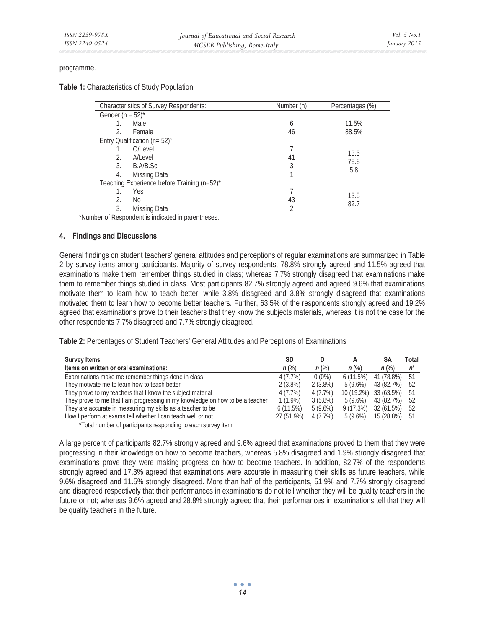#### programme.

### **Table 1:** Characteristics of Study Population

| <b>Characteristics of Survey Respondents:</b> | Number (n) | Percentages (%) |
|-----------------------------------------------|------------|-----------------|
| Gender ( $n = 52$ )*                          |            |                 |
| Male                                          | 6          | 11.5%           |
| 2.<br>Female                                  | 46         | 88.5%           |
| Entry Qualification ( $n = 52$ )*             |            |                 |
| O/Level                                       |            | 13.5            |
| 2.<br>A/Level                                 | 41         | 78.8            |
| 3.<br>B.A/B.Sc.                               | 3          | 5.8             |
| 4.<br>Missing Data                            |            |                 |
| Teaching Experience before Training (n=52)*   |            |                 |
| Yes                                           |            | 13.5            |
| 2.<br>No                                      | 43         | 82.7            |
| 3.<br>Missing Data                            |            |                 |

\*Number of Respondent is indicated in parentheses.

### **4. Findings and Discussions**

General findings on student teachers' general attitudes and perceptions of regular examinations are summarized in Table 2 by survey items among participants. Majority of survey respondents, 78.8% strongly agreed and 11.5% agreed that examinations make them remember things studied in class; whereas 7.7% strongly disagreed that examinations make them to remember things studied in class. Most participants 82.7% strongly agreed and agreed 9.6% that examinations motivate them to learn how to teach better, while 3.8% disagreed and 3.8% strongly disagreed that examinations motivated them to learn how to become better teachers. Further, 63.5% of the respondents strongly agreed and 19.2% agreed that examinations prove to their teachers that they know the subjects materials, whereas it is not the case for the other respondents 7.7% disagreed and 7.7% strongly disagreed.

**Table 2:** Percentages of Student Teachers' General Attitudes and Perceptions of Examinations

| <b>Survey Items</b>                                                           |              | D          |            | SΑ         | Total |
|-------------------------------------------------------------------------------|--------------|------------|------------|------------|-------|
| Items on written or oral examinations:                                        | $n$ (%)      | $n$ (%)    | $n$ (%)    | $n$ (%)    | 'n    |
| Examinations make me remember things done in class                            | 4(7.7%)      | $0(0\%)$   | 6(11.5%)   | 41 (78.8%) | 51    |
| They motivate me to learn how to teach better                                 | $2(3.8\%)$   | $2(3.8\%)$ | $5(9.6\%)$ | 43 (82.7%) | 52    |
| They prove to my teachers that I know the subject material                    | 4 (7.7%)     | 4 (7.7%)   | 10 (19.2%) | 33 (63.5%) | -51   |
| They prove to me that I am progressing in my knowledge on how to be a teacher | $1(1.9\%)$   | $3(5.8\%)$ | $5(9.6\%)$ | 43 (82.7%) | -52   |
| They are accurate in measuring my skills as a teacher to be                   | 6(11.5%)     | $5(9.6\%)$ | 9(17.3%)   | 32 (61.5%) | 52    |
| How I perform at exams tell whether I can teach well or not                   | $27(51.9\%)$ | 4 (7.7%)   | $5(9.6\%)$ | 15 (28.8%) | 51    |

\*Total number of participants responding to each survey item

A large percent of participants 82.7% strongly agreed and 9.6% agreed that examinations proved to them that they were progressing in their knowledge on how to become teachers, whereas 5.8% disagreed and 1.9% strongly disagreed that examinations prove they were making progress on how to become teachers. In addition, 82.7% of the respondents strongly agreed and 17.3% agreed that examinations were accurate in measuring their skills as future teachers, while 9.6% disagreed and 11.5% strongly disagreed. More than half of the participants, 51.9% and 7.7% strongly disagreed and disagreed respectively that their performances in examinations do not tell whether they will be quality teachers in the future or not; whereas 9.6% agreed and 28.8% strongly agreed that their performances in examinations tell that they will be quality teachers in the future.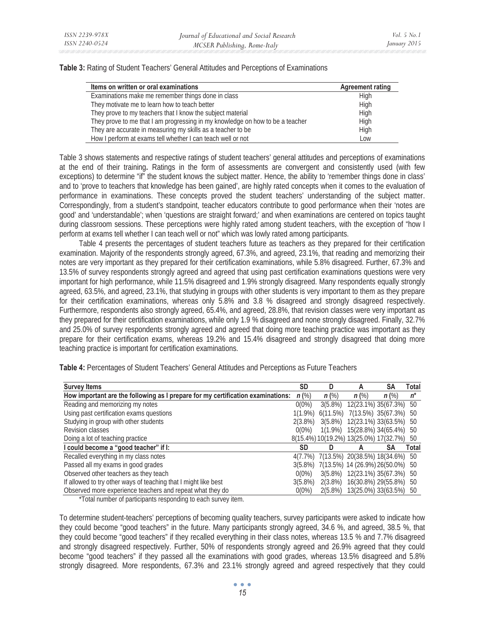**Table 3:** Rating of Student Teachers' General Attitudes and Perceptions of Examinations

| Items on written or oral examinations                                         | <b>Agreement rating</b> |
|-------------------------------------------------------------------------------|-------------------------|
| Examinations make me remember things done in class                            | High                    |
| They motivate me to learn how to teach better                                 | High                    |
| They prove to my teachers that I know the subject material                    | High                    |
| They prove to me that I am progressing in my knowledge on how to be a teacher | High                    |
| They are accurate in measuring my skills as a teacher to be                   | High                    |
| How I perform at exams tell whether I can teach well or not                   | Low                     |

Table 3 shows statements and respective ratings of student teachers' general attitudes and perceptions of examinations at the end of their training**.** Ratings in the form of assessments are convergent and consistently used (with few exceptions) to determine "if" the student knows the subject matter. Hence, the ability to 'remember things done in class' and to 'prove to teachers that knowledge has been gained', are highly rated concepts when it comes to the evaluation of performance in examinations. These concepts proved the student teachers' understanding of the subject matter. Correspondingly, from a student's standpoint, teacher educators contribute to good performance when their 'notes are good' and 'understandable'; when 'questions are straight forward;' and when examinations are centered on topics taught during classroom sessions. These perceptions were highly rated among student teachers, with the exception of "how I perform at exams tell whether I can teach well or not" which was lowly rated among participants.

Table 4 presents the percentages of student teachers future as teachers as they prepared for their certification examination. Majority of the respondents strongly agreed, 67.3%, and agreed, 23.1%, that reading and memorizing their notes are very important as they prepared for their certification examinations, while 5.8% disagreed. Further, 67.3% and 13.5% of survey respondents strongly agreed and agreed that using past certification examinations questions were very important for high performance, while 11.5% disagreed and 1.9% strongly disagreed. Many respondents equally strongly agreed, 63.5%, and agreed, 23.1%, that studying in groups with other students is very important to them as they prepare for their certification examinations, whereas only 5.8% and 3.8 % disagreed and strongly disagreed respectively. Furthermore, respondents also strongly agreed, 65.4%, and agreed, 28.8%, that revision classes were very important as they prepared for their certification examinations, while only 1.9 % disagreed and none strongly disagreed. Finally, 32.7% and 25.0% of survey respondents strongly agreed and agreed that doing more teaching practice was important as they prepare for their certification exams, whereas 19.2% and 15.4% disagreed and strongly disagreed that doing more teaching practice is important for certification examinations.

| <b>Survey Items</b>                                                             | <b>SD</b>  | D       | А                                         | <b>SA</b> | Total |
|---------------------------------------------------------------------------------|------------|---------|-------------------------------------------|-----------|-------|
| How important are the following as I prepare for my certification examinations: |            | $n$ (%) | $n$ (%)                                   | $n$ (%)   | n*    |
| Reading and memorizing my notes                                                 | $0(0\%)$   |         | 3(5.8%) 12(23.1%) 35(67.3%) 50            |           |       |
| Using past certification exams questions                                        |            |         | 1(1.9%) 6(11.5%) 7(13.5%) 35(67.3%) 50    |           |       |
| Studying in group with other students                                           | $2(3.8\%)$ |         | 3(5.8%) 12(23.1%) 33(63.5%) 50            |           |       |
| Revision classes                                                                | $0(0\%)$   |         | 1(1.9%) 15(28.8%) 34(65.4%) 50            |           |       |
| Doing a lot of teaching practice                                                |            |         | 8(15.4%) 10(19.2%) 13(25.0%) 17(32.7%) 50 |           |       |
| I could become a "good teacher" if I:                                           |            |         |                                           | <b>SA</b> | Total |
| Recalled everything in my class notes                                           |            |         | 4(7.7%) 7(13.5%) 20(38.5%) 18(34.6%) 50   |           |       |
| Passed all my exams in good grades                                              |            |         | 3(5.8%) 7(13.5%) 14 (26.9%) 26(50.0%) 50  |           |       |
| Observed other teachers as they teach                                           | $0(0\%)$   |         | 3(5.8%) 12(23.1%) 35(67.3%) 50            |           |       |
| If allowed to try other ways of teaching that I might like best                 | $3(5.8\%)$ |         | 2(3.8%) 16(30.8%) 29(55.8%) 50            |           |       |
| Observed more experience teachers and repeat what they do                       | $0(0\%)$   |         | 2(5.8%) 13(25.0%) 33(63.5%) 50            |           |       |

**Table 4:** Percentages of Student Teachers' General Attitudes and Perceptions as Future Teachers

\*Total number of participants responding to each survey item.

To determine student-teachers' perceptions of becoming quality teachers, survey participants were asked to indicate how they could become "good teachers" in the future. Many participants strongly agreed, 34.6 %, and agreed, 38.5 %, that they could become "good teachers" if they recalled everything in their class notes, whereas 13.5 % and 7.7% disagreed and strongly disagreed respectively. Further, 50% of respondents strongly agreed and 26.9% agreed that they could become "good teachers" if they passed all the examinations with good grades, whereas 13.5% disagreed and 5.8% strongly disagreed. More respondents, 67.3% and 23.1% strongly agreed and agreed respectively that they could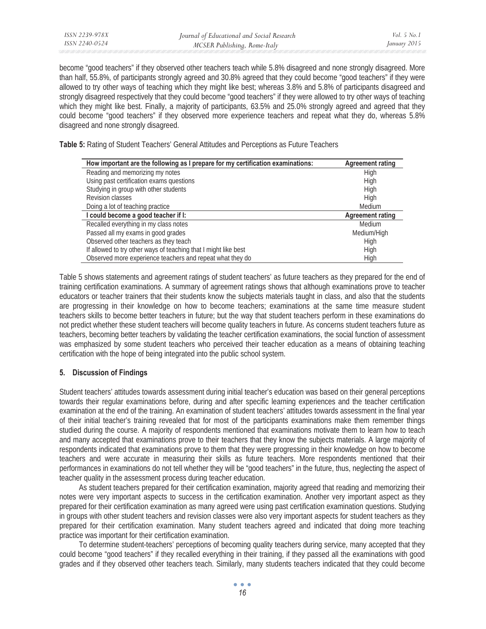become "good teachers" if they observed other teachers teach while 5.8% disagreed and none strongly disagreed. More than half, 55.8%, of participants strongly agreed and 30.8% agreed that they could become "good teachers" if they were allowed to try other ways of teaching which they might like best; whereas 3.8% and 5.8% of participants disagreed and strongly disagreed respectively that they could become "good teachers" if they were allowed to try other ways of teaching which they might like best. Finally, a majority of participants, 63.5% and 25.0% strongly agreed and agreed that they could become "good teachers" if they observed more experience teachers and repeat what they do, whereas 5.8% disagreed and none strongly disagreed.

**Table 5:** Rating of Student Teachers' General Attitudes and Perceptions as Future Teachers

| How important are the following as I prepare for my certification examinations: | <b>Agreement rating</b> |
|---------------------------------------------------------------------------------|-------------------------|
| Reading and memorizing my notes                                                 | High                    |
| Using past certification exams questions                                        | High                    |
| Studying in group with other students                                           | High                    |
| Revision classes                                                                | High                    |
| Doing a lot of teaching practice                                                | Medium                  |
| I could become a good teacher if I:                                             | <b>Agreement rating</b> |
| Recalled everything in my class notes                                           | Medium                  |
| Passed all my exams in good grades                                              | Medium/High             |
| Observed other teachers as they teach                                           | High                    |
| If allowed to try other ways of teaching that I might like best                 | High                    |
| Observed more experience teachers and repeat what they do                       | High                    |

Table 5 shows statements and agreement ratings of student teachers' as future teachers as they prepared for the end of training certification examinations. A summary of agreement ratings shows that although examinations prove to teacher educators or teacher trainers that their students know the subjects materials taught in class, and also that the students are progressing in their knowledge on how to become teachers; examinations at the same time measure student teachers skills to become better teachers in future; but the way that student teachers perform in these examinations do not predict whether these student teachers will become quality teachers in future. As concerns student teachers future as teachers, becoming better teachers by validating the teacher certification examinations, the social function of assessment was emphasized by some student teachers who perceived their teacher education as a means of obtaining teaching certification with the hope of being integrated into the public school system.

# **5. Discussion of Findings**

Student teachers' attitudes towards assessment during initial teacher's education was based on their general perceptions towards their regular examinations before, during and after specific learning experiences and the teacher certification examination at the end of the training. An examination of student teachers' attitudes towards assessment in the final year of their initial teacher's training revealed that for most of the participants examinations make them remember things studied during the course. A majority of respondents mentioned that examinations motivate them to learn how to teach and many accepted that examinations prove to their teachers that they know the subjects materials. A large majority of respondents indicated that examinations prove to them that they were progressing in their knowledge on how to become teachers and were accurate in measuring their skills as future teachers. More respondents mentioned that their performances in examinations do not tell whether they will be "good teachers" in the future, thus, neglecting the aspect of teacher quality in the assessment process during teacher education.

As student teachers prepared for their certification examination, majority agreed that reading and memorizing their notes were very important aspects to success in the certification examination. Another very important aspect as they prepared for their certification examination as many agreed were using past certification examination questions. Studying in groups with other student teachers and revision classes were also very important aspects for student teachers as they prepared for their certification examination. Many student teachers agreed and indicated that doing more teaching practice was important for their certification examination.

To determine student-teachers' perceptions of becoming quality teachers during service, many accepted that they could become "good teachers" if they recalled everything in their training, if they passed all the examinations with good grades and if they observed other teachers teach. Similarly, many students teachers indicated that they could become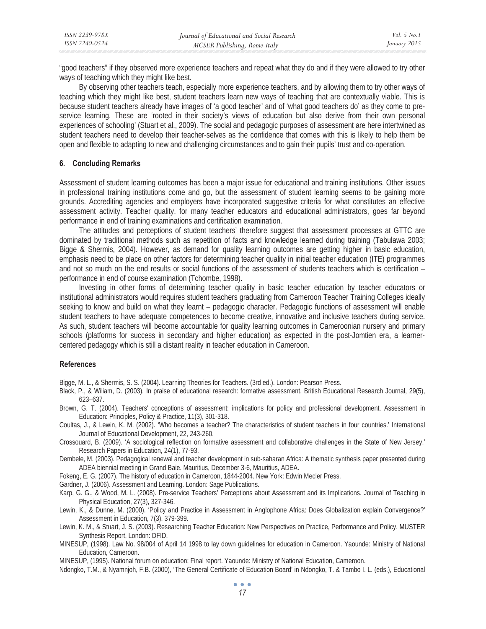"good teachers" if they observed more experience teachers and repeat what they do and if they were allowed to try other ways of teaching which they might like best.

By observing other teachers teach, especially more experience teachers, and by allowing them to try other ways of teaching which they might like best, student teachers learn new ways of teaching that are contextually viable. This is because student teachers already have images of 'a good teacher' and of 'what good teachers do' as they come to preservice learning. These are 'rooted in their society's views of education but also derive from their own personal experiences of schooling' (Stuart et al., 2009). The social and pedagogic purposes of assessment are here intertwined as student teachers need to develop their teacher-selves as the confidence that comes with this is likely to help them be open and flexible to adapting to new and challenging circumstances and to gain their pupils' trust and co-operation.

### **6. Concluding Remarks**

Assessment of student learning outcomes has been a major issue for educational and training institutions. Other issues in professional training institutions come and go, but the assessment of student learning seems to be gaining more grounds. Accrediting agencies and employers have incorporated suggestive criteria for what constitutes an effective assessment activity. Teacher quality, for many teacher educators and educational administrators, goes far beyond performance in end of training examinations and certification examination.

The attitudes and perceptions of student teachers' therefore suggest that assessment processes at GTTC are dominated by traditional methods such as repetition of facts and knowledge learned during training (Tabulawa 2003; Bigge & Shermis, 2004). However, as demand for quality learning outcomes are getting higher in basic education, emphasis need to be place on other factors for determining teacher quality in initial teacher education (ITE) programmes and not so much on the end results or social functions of the assessment of students teachers which is certification – performance in end of course examination (Tchombe, 1998).

Investing in other forms of determining teacher quality in basic teacher education by teacher educators or institutional administrators would requires student teachers graduating from Cameroon Teacher Training Colleges ideally seeking to know and build on what they learnt – pedagogic character. Pedagogic functions of assessment will enable student teachers to have adequate competences to become creative, innovative and inclusive teachers during service. As such, student teachers will become accountable for quality learning outcomes in Cameroonian nursery and primary schools (platforms for success in secondary and higher education) as expected in the post-Jomtien era, a learnercentered pedagogy which is still a distant reality in teacher education in Cameroon.

### **References**

Bigge, M. L., & Shermis, S. S. (2004). Learning Theories for Teachers. (3rd ed.). London: Pearson Press.

- Black, P., & Wiliam, D. (2003). In praise of educational research: formative assessment. British Educational Research Journal, 29(5), 623–637.
- Brown, G. T. (2004). Teachers' conceptions of assessment: implications for policy and professional development. Assessment in Education: Principles, Policy & Practice, 11(3), 301-318.
- Coultas, J., & Lewin, K. M. (2002). 'Who becomes a teacher? The characteristics of student teachers in four countries.' International Journal of Educational Development, 22, 243-260.
- Crossouard, B. (2009). 'A sociological reflection on formative assessment and collaborative challenges in the State of New Jersey.' Research Papers in Education, 24(1), 77-93.
- Dembele, M. (2003). Pedagogical renewal and teacher development in sub-saharan Africa: A thematic synthesis paper presented during ADEA biennial meeting in Grand Baie. Mauritius, December 3-6, Mauritius, ADEA.
- Fokeng, E. G. (2007). The history of education in Cameroon, 1844-2004. New York: Edwin Mecler Press.
- Gardner, J. (2006). Assessment and Learning. London: Sage Publications.
- Karp, G. G., & Wood, M. L. (2008). Pre-service Teachers' Perceptions about Assessment and its Implications. Journal of Teaching in Physical Education, 27(3), 327-346.
- Lewin, K., & Dunne, M. (2000). 'Policy and Practice in Assessment in Anglophone Africa: Does Globalization explain Convergence?' Assessment in Education, 7(3), 379-399.
- Lewin, K. M., & Stuart, J. S. (2003). Researching Teacher Education: New Perspectives on Practice, Performance and Policy. MUSTER Synthesis Report, London: DFID.
- MINESUP, (1998). Law No. 98/004 of April 14 1998 to lay down guidelines for education in Cameroon. Yaounde: Ministry of National Education, Cameroon.

MINESUP, (1995). National forum on education: Final report. Yaounde: Ministry of National Education, Cameroon.

Ndongko, T.M., & Nyamnjoh, F.B. (2000), 'The General Certificate of Education Board' in Ndongko, T. & Tambo I. L. (eds.), Educational